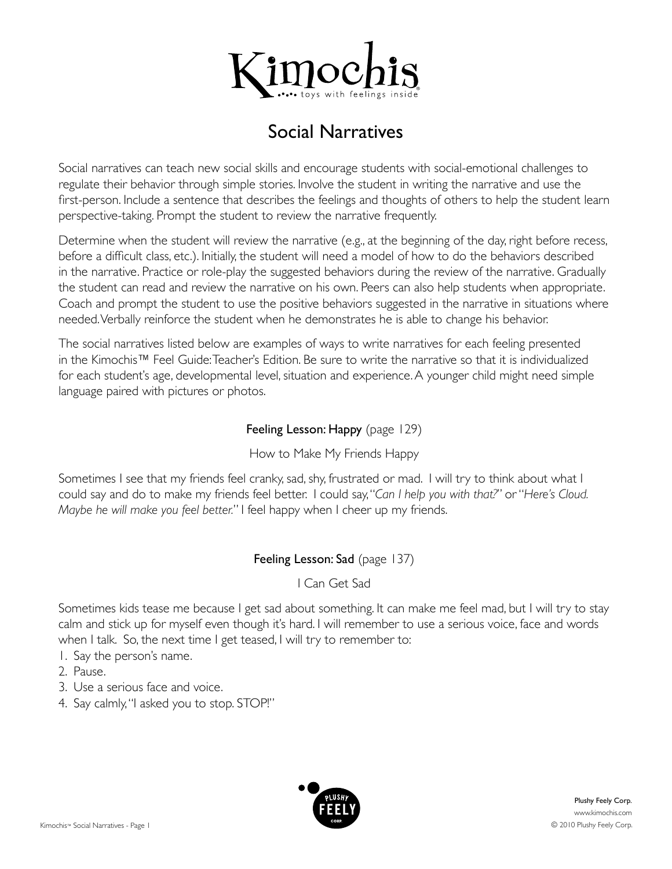

# Social Narratives

Social narratives can teach new social skills and encourage students with social-emotional challenges to regulate their behavior through simple stories. Involve the student in writing the narrative and use the first-person. Include a sentence that describes the feelings and thoughts of others to help the student learn perspective-taking. Prompt the student to review the narrative frequently.

Determine when the student will review the narrative (e.g., at the beginning of the day, right before recess, before a difficult class, etc.). Initially, the student will need a model of how to do the behaviors described in the narrative. Practice or role-play the suggested behaviors during the review of the narrative. Gradually the student can read and review the narrative on his own. Peers can also help students when appropriate. Coach and prompt the student to use the positive behaviors suggested in the narrative in situations where needed. Verbally reinforce the student when he demonstrates he is able to change his behavior.

The social narratives listed below are examples of ways to write narratives for each feeling presented in the Kimochis™ Feel Guide: Teacher's Edition. Be sure to write the narrative so that it is individualized for each student's age, developmental level, situation and experience. A younger child might need simple language paired with pictures or photos.

### Feeling Lesson: Happy (page 129)

How to Make My Friends Happy

Sometimes I see that my friends feel cranky, sad, shy, frustrated or mad. I will try to think about what I could say and do to make my friends feel better. I could say, "*Can I help you with that?*" or "*Here's Cloud. Maybe he will make you feel better.*" I feel happy when I cheer up my friends.

## Feeling Lesson: Sad (page 137)

### I Can Get Sad

Sometimes kids tease me because I get sad about something. It can make me feel mad, but I will try to stay calm and stick up for myself even though it's hard. I will remember to use a serious voice, face and words when I talk. So, the next time I get teased, I will try to remember to:

- 1. Say the person's name.
- 2. Pause.
- 3. Use a serious face and voice.
- 4. Say calmly, "I asked you to stop. STOP!"

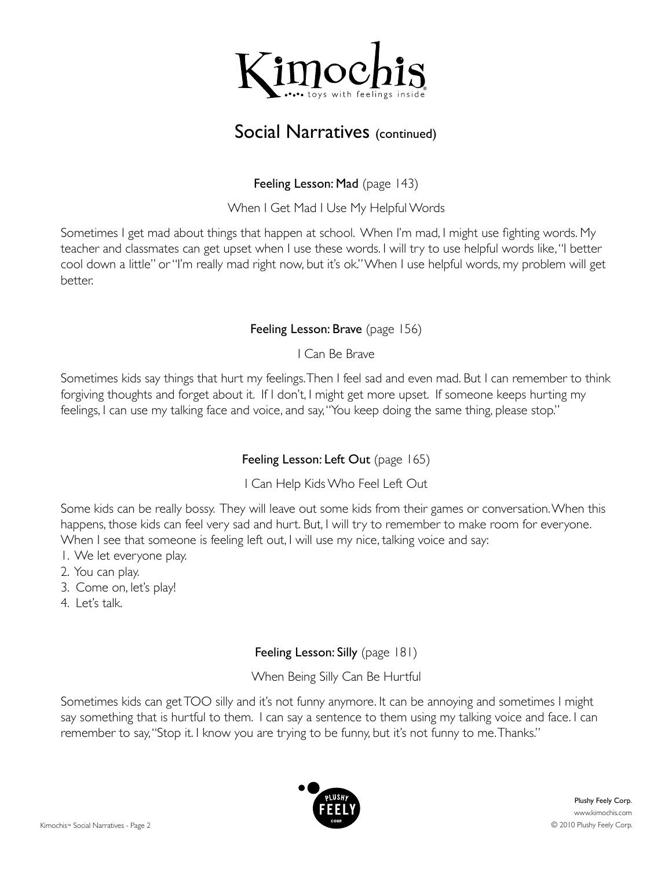

# Social Narratives (continued)

## Feeling Lesson: Mad (page 143)

When I Get Mad I Use My Helpful Words

Sometimes I get mad about things that happen at school. When I'm mad, I might use fighting words. My teacher and classmates can get upset when I use these words. I will try to use helpful words like, "I better cool down a little" or "I'm really mad right now, but it's ok." When I use helpful words, my problem will get better.

## Feeling Lesson: Brave (page 156)

I Can Be Brave

Sometimes kids say things that hurt my feelings. Then I feel sad and even mad. But I can remember to think forgiving thoughts and forget about it. If I don't, I might get more upset. If someone keeps hurting my feelings, I can use my talking face and voice, and say, "You keep doing the same thing, please stop."

# Feeling Lesson: Left Out (page 165)

I Can Help Kids Who Feel Left Out

Some kids can be really bossy. They will leave out some kids from their games or conversation. When this happens, those kids can feel very sad and hurt. But, I will try to remember to make room for everyone. When I see that someone is feeling left out, I will use my nice, talking voice and say:

- 1. We let everyone play.
- 2. You can play.
- 3. Come on, let's play!
- $4$  Let's talk

# Feeling Lesson: Silly (page 181)

When Being Silly Can Be Hurtful

Sometimes kids can get TOO silly and it's not funny anymore. It can be annoying and sometimes I might say something that is hurtful to them. I can say a sentence to them using my talking voice and face. I can remember to say, "Stop it. I know you are trying to be funny, but it's not funny to me. Thanks."

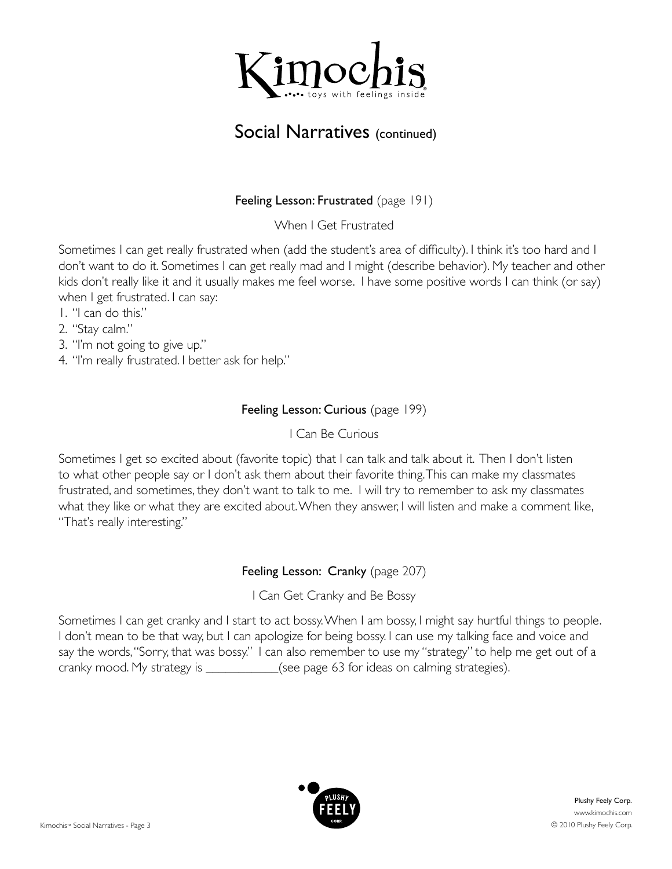

# Social Narratives (continued)

### Feeling Lesson: Frustrated (page 191)

When I Get Frustrated

Sometimes I can get really frustrated when (add the student's area of difficulty). I think it's too hard and I don't want to do it. Sometimes I can get really mad and I might (describe behavior). My teacher and other kids don't really like it and it usually makes me feel worse. I have some positive words I can think (or say) when I get frustrated. I can say:

- 1. "I can do this."
- 2. "Stay calm."
- 3. "I'm not going to give up."
- 4. "I'm really frustrated. I better ask for help."

### Feeling Lesson: Curious (page 199)

I Can Be Curious

Sometimes I get so excited about (favorite topic) that I can talk and talk about it. Then I don't listen to what other people say or I don't ask them about their favorite thing. This can make my classmates frustrated, and sometimes, they don't want to talk to me. I will try to remember to ask my classmates what they like or what they are excited about. When they answer, I will listen and make a comment like, "That's really interesting."

## Feeling Lesson: Cranky (page 207)

I Can Get Cranky and Be Bossy

Sometimes I can get cranky and I start to act bossy. When I am bossy, I might say hurtful things to people. I don't mean to be that way, but I can apologize for being bossy. I can use my talking face and voice and say the words, "Sorry, that was bossy." I can also remember to use my "strategy" to help me get out of a cranky mood. My strategy is \_\_\_\_\_\_\_\_\_\_\_\_(see page 63 for ideas on calming strategies).